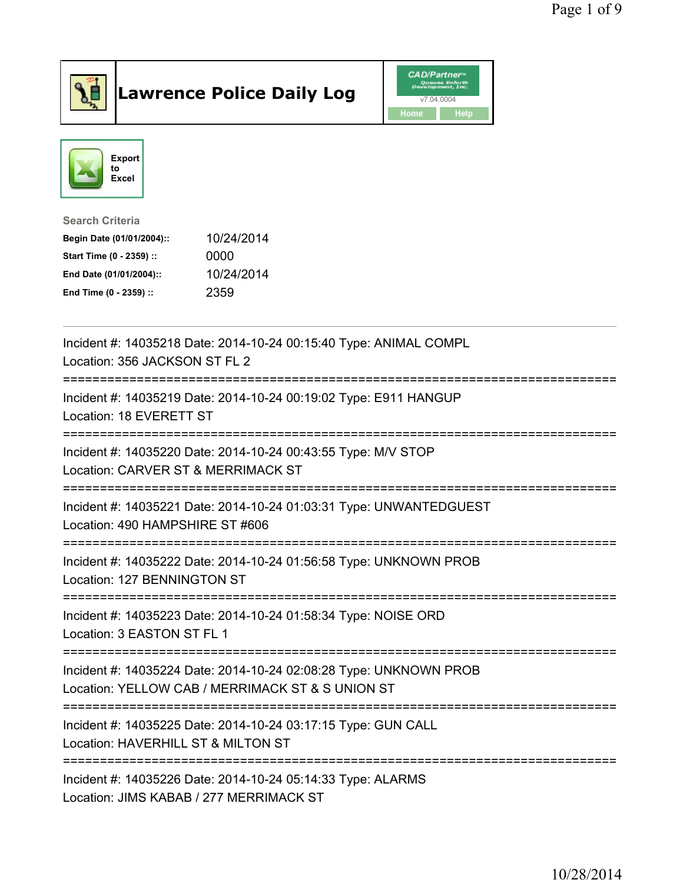

## Lawrence Police Daily Log **Daniel CAD/Partner**





## Search Criteria Begin Date (01/01/2004):: 10/24/2014

| Start Time (0 - 2359) :: | 0000       |
|--------------------------|------------|
| End Date (01/01/2004)::  | 10/24/2014 |
| End Time (0 - 2359) ::   | 2359       |

| Incident #: 14035218 Date: 2014-10-24 00:15:40 Type: ANIMAL COMPL<br>Location: 356 JACKSON ST FL 2<br>=============   |
|-----------------------------------------------------------------------------------------------------------------------|
| Incident #: 14035219 Date: 2014-10-24 00:19:02 Type: E911 HANGUP<br>Location: 18 EVERETT ST                           |
| Incident #: 14035220 Date: 2014-10-24 00:43:55 Type: M/V STOP<br>Location: CARVER ST & MERRIMACK ST                   |
| Incident #: 14035221 Date: 2014-10-24 01:03:31 Type: UNWANTEDGUEST<br>Location: 490 HAMPSHIRE ST #606                 |
| Incident #: 14035222 Date: 2014-10-24 01:56:58 Type: UNKNOWN PROB<br>Location: 127 BENNINGTON ST                      |
| Incident #: 14035223 Date: 2014-10-24 01:58:34 Type: NOISE ORD<br>Location: 3 EASTON ST FL 1                          |
| Incident #: 14035224 Date: 2014-10-24 02:08:28 Type: UNKNOWN PROB<br>Location: YELLOW CAB / MERRIMACK ST & S UNION ST |
| Incident #: 14035225 Date: 2014-10-24 03:17:15 Type: GUN CALL<br>Location: HAVERHILL ST & MILTON ST                   |
| Incident #: 14035226 Date: 2014-10-24 05:14:33 Type: ALARMS<br>Location: JIMS KABAB / 277 MERRIMACK ST                |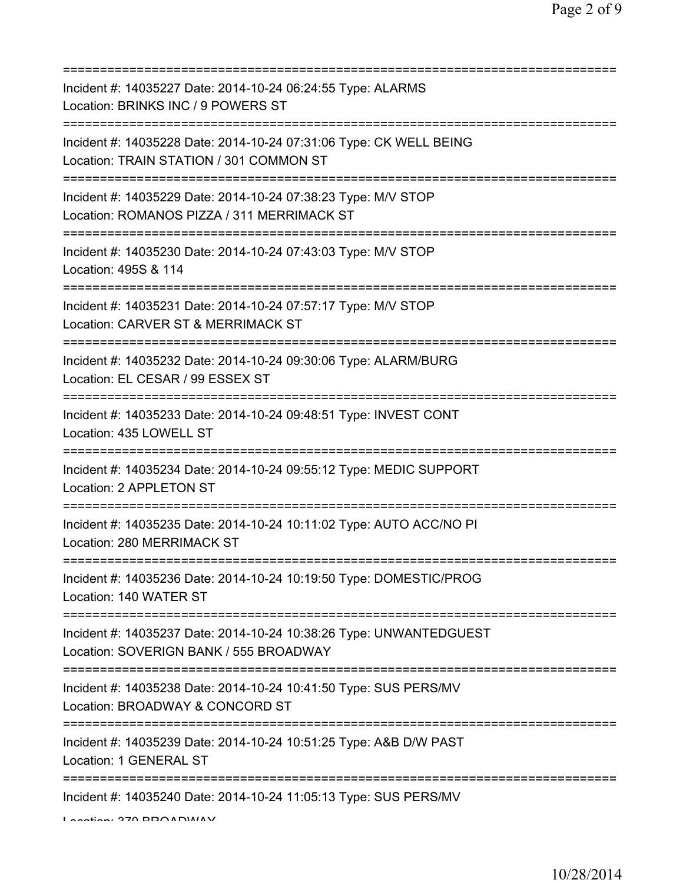| Incident #: 14035227 Date: 2014-10-24 06:24:55 Type: ALARMS<br>Location: BRINKS INC / 9 POWERS ST<br>============================<br>===========       |
|--------------------------------------------------------------------------------------------------------------------------------------------------------|
| Incident #: 14035228 Date: 2014-10-24 07:31:06 Type: CK WELL BEING<br>Location: TRAIN STATION / 301 COMMON ST<br>===================================== |
| Incident #: 14035229 Date: 2014-10-24 07:38:23 Type: M/V STOP<br>Location: ROMANOS PIZZA / 311 MERRIMACK ST<br>:======================                 |
| Incident #: 14035230 Date: 2014-10-24 07:43:03 Type: M/V STOP<br>Location: 495S & 114                                                                  |
| Incident #: 14035231 Date: 2014-10-24 07:57:17 Type: M/V STOP<br>Location: CARVER ST & MERRIMACK ST<br>====================================            |
| Incident #: 14035232 Date: 2014-10-24 09:30:06 Type: ALARM/BURG<br>Location: EL CESAR / 99 ESSEX ST                                                    |
| Incident #: 14035233 Date: 2014-10-24 09:48:51 Type: INVEST CONT<br>Location: 435 LOWELL ST                                                            |
| Incident #: 14035234 Date: 2014-10-24 09:55:12 Type: MEDIC SUPPORT<br>Location: 2 APPLETON ST                                                          |
| Incident #: 14035235 Date: 2014-10-24 10:11:02 Type: AUTO ACC/NO PI<br>Location: 280 MERRIMACK ST                                                      |
| Incident #: 14035236 Date: 2014-10-24 10:19:50 Type: DOMESTIC/PROG<br>Location: 140 WATER ST                                                           |
| Incident #: 14035237 Date: 2014-10-24 10:38:26 Type: UNWANTEDGUEST<br>Location: SOVERIGN BANK / 555 BROADWAY                                           |
| Incident #: 14035238 Date: 2014-10-24 10:41:50 Type: SUS PERS/MV<br>Location: BROADWAY & CONCORD ST                                                    |
| Incident #: 14035239 Date: 2014-10-24 10:51:25 Type: A&B D/W PAST<br>Location: 1 GENERAL ST                                                            |
| Incident #: 14035240 Date: 2014-10-24 11:05:13 Type: SUS PERS/MV                                                                                       |

Location: 370 BROADWAY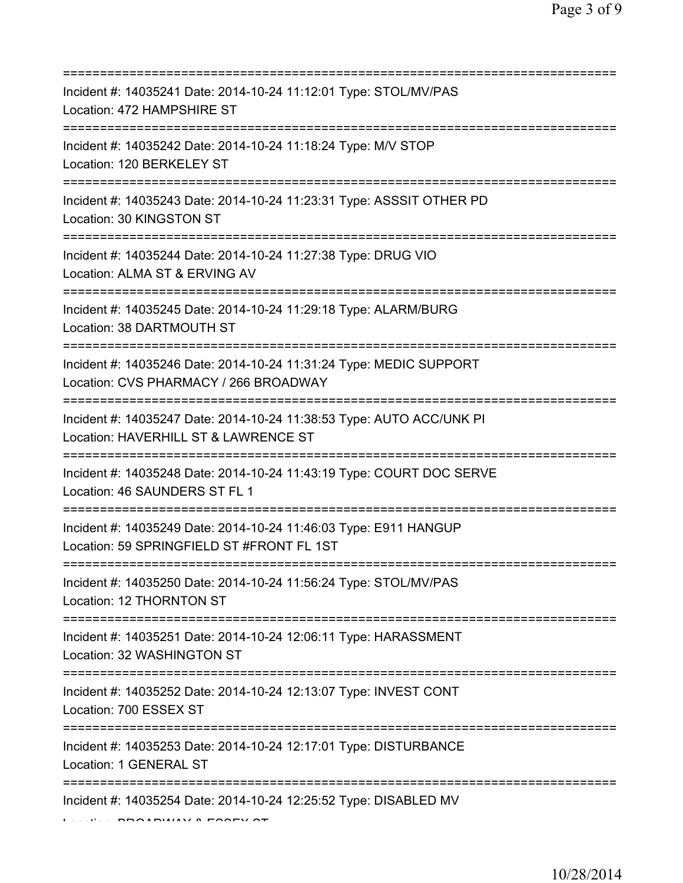| Incident #: 14035241 Date: 2014-10-24 11:12:01 Type: STOL/MV/PAS<br>Location: 472 HAMPSHIRE ST                                                                               |
|------------------------------------------------------------------------------------------------------------------------------------------------------------------------------|
| Incident #: 14035242 Date: 2014-10-24 11:18:24 Type: M/V STOP<br>Location: 120 BERKELEY ST                                                                                   |
| Incident #: 14035243 Date: 2014-10-24 11:23:31 Type: ASSSIT OTHER PD<br>Location: 30 KINGSTON ST<br>=========================                                                |
| Incident #: 14035244 Date: 2014-10-24 11:27:38 Type: DRUG VIO<br>Location: ALMA ST & ERVING AV                                                                               |
| Incident #: 14035245 Date: 2014-10-24 11:29:18 Type: ALARM/BURG<br>Location: 38 DARTMOUTH ST                                                                                 |
| =====================================<br>Incident #: 14035246 Date: 2014-10-24 11:31:24 Type: MEDIC SUPPORT<br>Location: CVS PHARMACY / 266 BROADWAY<br>:=================== |
| Incident #: 14035247 Date: 2014-10-24 11:38:53 Type: AUTO ACC/UNK PI<br>Location: HAVERHILL ST & LAWRENCE ST<br>====================                                         |
| Incident #: 14035248 Date: 2014-10-24 11:43:19 Type: COURT DOC SERVE<br>Location: 46 SAUNDERS ST FL 1                                                                        |
| Incident #: 14035249 Date: 2014-10-24 11:46:03 Type: E911 HANGUP<br>Location: 59 SPRINGFIELD ST #FRONT FL 1ST                                                                |
| Incident #: 14035250 Date: 2014-10-24 11:56:24 Type: STOL/MV/PAS<br>Location: 12 THORNTON ST                                                                                 |
| Incident #: 14035251 Date: 2014-10-24 12:06:11 Type: HARASSMENT<br>Location: 32 WASHINGTON ST                                                                                |
| Incident #: 14035252 Date: 2014-10-24 12:13:07 Type: INVEST CONT<br>Location: 700 ESSEX ST                                                                                   |
| Incident #: 14035253 Date: 2014-10-24 12:17:01 Type: DISTURBANCE<br>Location: 1 GENERAL ST                                                                                   |
| Incident #: 14035254 Date: 2014-10-24 12:25:52 Type: DISABLED MV<br>$\overline{1}$                                                                                           |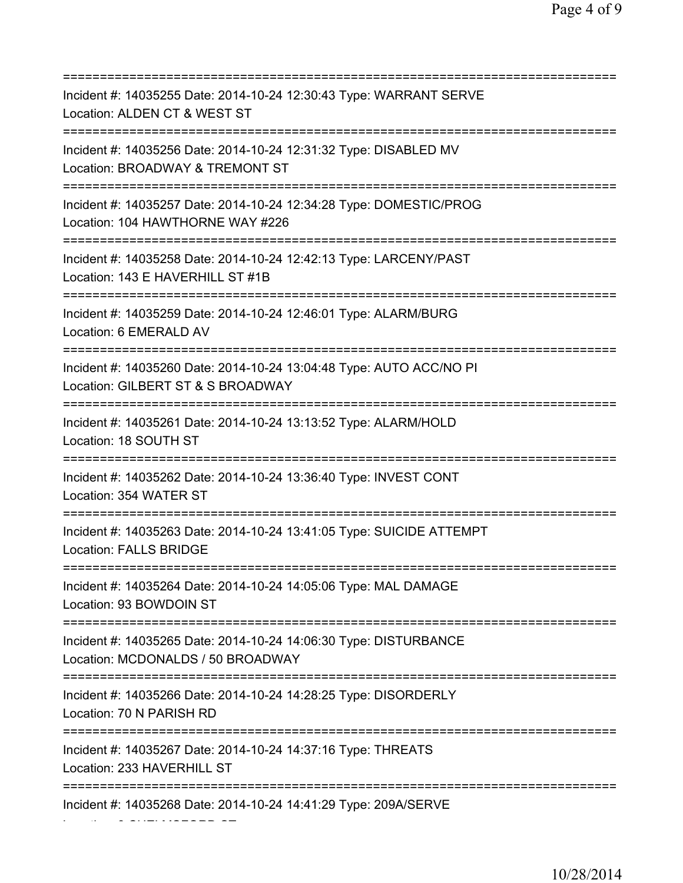| Incident #: 14035255 Date: 2014-10-24 12:30:43 Type: WARRANT SERVE<br>Location: ALDEN CT & WEST ST                                       |
|------------------------------------------------------------------------------------------------------------------------------------------|
| Incident #: 14035256 Date: 2014-10-24 12:31:32 Type: DISABLED MV<br>Location: BROADWAY & TREMONT ST                                      |
| Incident #: 14035257 Date: 2014-10-24 12:34:28 Type: DOMESTIC/PROG<br>Location: 104 HAWTHORNE WAY #226<br>============================== |
| Incident #: 14035258 Date: 2014-10-24 12:42:13 Type: LARCENY/PAST<br>Location: 143 E HAVERHILL ST #1B<br>========================        |
| Incident #: 14035259 Date: 2014-10-24 12:46:01 Type: ALARM/BURG<br>Location: 6 EMERALD AV                                                |
| Incident #: 14035260 Date: 2014-10-24 13:04:48 Type: AUTO ACC/NO PI<br>Location: GILBERT ST & S BROADWAY                                 |
| Incident #: 14035261 Date: 2014-10-24 13:13:52 Type: ALARM/HOLD<br>Location: 18 SOUTH ST<br>================================             |
| Incident #: 14035262 Date: 2014-10-24 13:36:40 Type: INVEST CONT<br>Location: 354 WATER ST                                               |
| Incident #: 14035263 Date: 2014-10-24 13:41:05 Type: SUICIDE ATTEMPT<br><b>Location: FALLS BRIDGE</b>                                    |
| Incident #: 14035264 Date: 2014-10-24 14:05:06 Type: MAL DAMAGE<br>Location: 93 BOWDOIN ST                                               |
| Incident #: 14035265 Date: 2014-10-24 14:06:30 Type: DISTURBANCE<br>Location: MCDONALDS / 50 BROADWAY                                    |
| Incident #: 14035266 Date: 2014-10-24 14:28:25 Type: DISORDERLY<br>Location: 70 N PARISH RD                                              |
| Incident #: 14035267 Date: 2014-10-24 14:37:16 Type: THREATS<br>Location: 233 HAVERHILL ST                                               |
| Incident #: 14035268 Date: 2014-10-24 14:41:29 Type: 209A/SERVE                                                                          |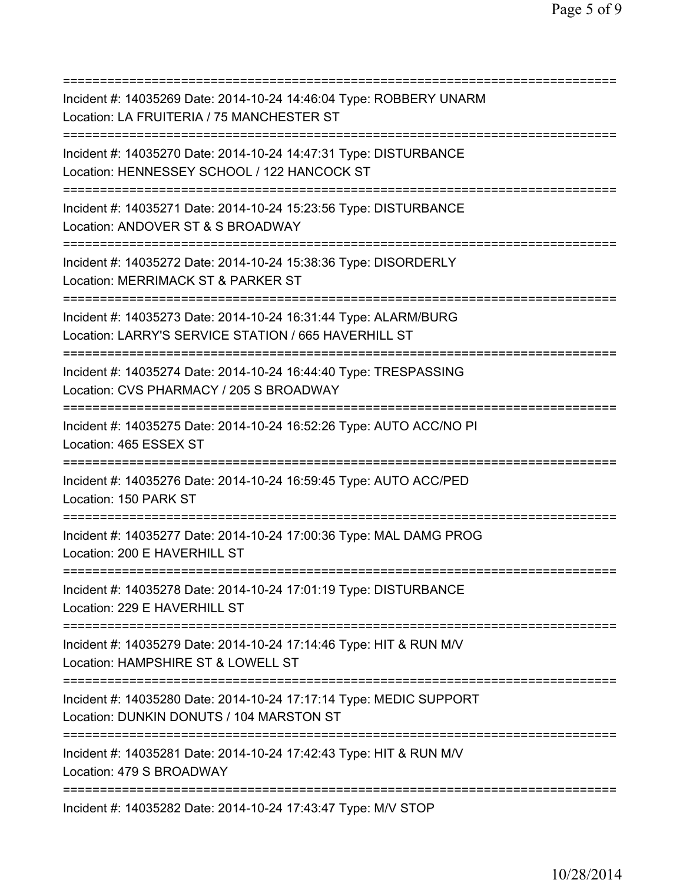=========================================================================== Incident #: 14035269 Date: 2014-10-24 14:46:04 Type: ROBBERY UNARM Location: LA FRUITERIA / 75 MANCHESTER ST =========================================================================== Incident #: 14035270 Date: 2014-10-24 14:47:31 Type: DISTURBANCE Location: HENNESSEY SCHOOL / 122 HANCOCK ST =========================================================================== Incident #: 14035271 Date: 2014-10-24 15:23:56 Type: DISTURBANCE Location: ANDOVER ST & S BROADWAY =========================================================================== Incident #: 14035272 Date: 2014-10-24 15:38:36 Type: DISORDERLY Location: MERRIMACK ST & PARKER ST =========================================================================== Incident #: 14035273 Date: 2014-10-24 16:31:44 Type: ALARM/BURG Location: LARRY'S SERVICE STATION / 665 HAVERHILL ST =========================================================================== Incident #: 14035274 Date: 2014-10-24 16:44:40 Type: TRESPASSING Location: CVS PHARMACY / 205 S BROADWAY =========================================================================== Incident #: 14035275 Date: 2014-10-24 16:52:26 Type: AUTO ACC/NO PI Location: 465 ESSEX ST =========================================================================== Incident #: 14035276 Date: 2014-10-24 16:59:45 Type: AUTO ACC/PED Location: 150 PARK ST =========================================================================== Incident #: 14035277 Date: 2014-10-24 17:00:36 Type: MAL DAMG PROG Location: 200 E HAVERHILL ST =========================================================================== Incident #: 14035278 Date: 2014-10-24 17:01:19 Type: DISTURBANCE Location: 229 E HAVERHILL ST =========================================================================== Incident #: 14035279 Date: 2014-10-24 17:14:46 Type: HIT & RUN M/V Location: HAMPSHIRE ST & LOWELL ST =========================================================================== Incident #: 14035280 Date: 2014-10-24 17:17:14 Type: MEDIC SUPPORT Location: DUNKIN DONUTS / 104 MARSTON ST =========================================================================== Incident #: 14035281 Date: 2014-10-24 17:42:43 Type: HIT & RUN M/V Location: 479 S BROADWAY =========================================================================== Incident #: 14035282 Date: 2014-10-24 17:43:47 Type: M/V STOP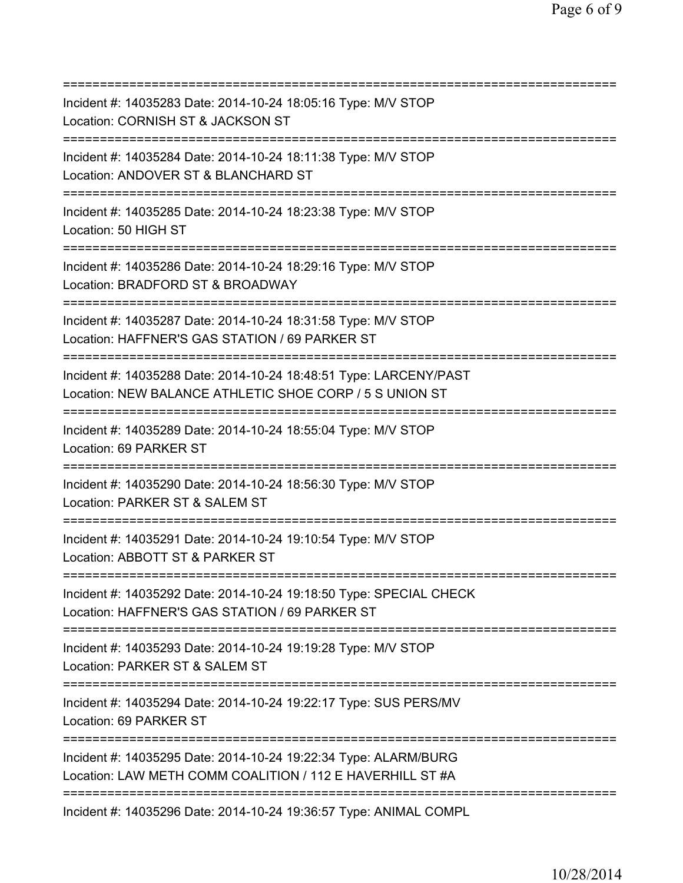| ;===========================                                                                                                 |
|------------------------------------------------------------------------------------------------------------------------------|
| Incident #: 14035283 Date: 2014-10-24 18:05:16 Type: M/V STOP<br>Location: CORNISH ST & JACKSON ST                           |
| Incident #: 14035284 Date: 2014-10-24 18:11:38 Type: M/V STOP<br>Location: ANDOVER ST & BLANCHARD ST                         |
| Incident #: 14035285 Date: 2014-10-24 18:23:38 Type: M/V STOP<br>Location: 50 HIGH ST                                        |
| Incident #: 14035286 Date: 2014-10-24 18:29:16 Type: M/V STOP<br>Location: BRADFORD ST & BROADWAY                            |
| Incident #: 14035287 Date: 2014-10-24 18:31:58 Type: M/V STOP<br>Location: HAFFNER'S GAS STATION / 69 PARKER ST              |
| Incident #: 14035288 Date: 2014-10-24 18:48:51 Type: LARCENY/PAST<br>Location: NEW BALANCE ATHLETIC SHOE CORP / 5 S UNION ST |
| Incident #: 14035289 Date: 2014-10-24 18:55:04 Type: M/V STOP<br>Location: 69 PARKER ST                                      |
| Incident #: 14035290 Date: 2014-10-24 18:56:30 Type: M/V STOP<br>Location: PARKER ST & SALEM ST                              |
| Incident #: 14035291 Date: 2014-10-24 19:10:54 Type: M/V STOP<br>Location: ABBOTT ST & PARKER ST                             |
| Incident #: 14035292 Date: 2014-10-24 19:18:50 Type: SPECIAL CHECK<br>Location: HAFFNER'S GAS STATION / 69 PARKER ST         |
| Incident #: 14035293 Date: 2014-10-24 19:19:28 Type: M/V STOP<br>Location: PARKER ST & SALEM ST                              |
| Incident #: 14035294 Date: 2014-10-24 19:22:17 Type: SUS PERS/MV<br>Location: 69 PARKER ST                                   |
| Incident #: 14035295 Date: 2014-10-24 19:22:34 Type: ALARM/BURG<br>Location: LAW METH COMM COALITION / 112 E HAVERHILL ST #A |
| Incident #: 14035296 Date: 2014-10-24 19:36:57 Type: ANIMAL COMPL                                                            |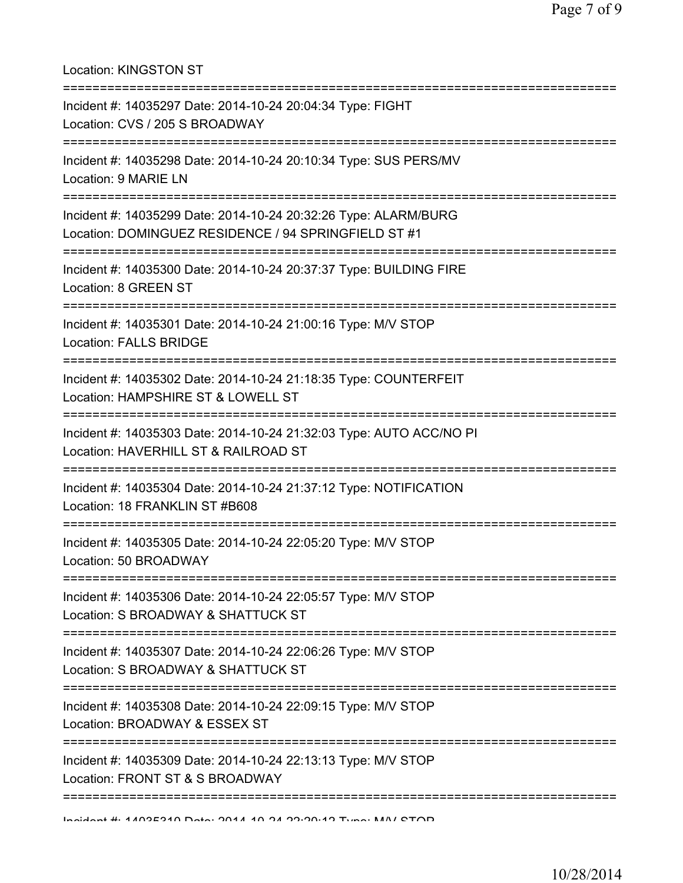Location: KINGSTON ST =========================================================================== Incident #: 14035297 Date: 2014-10-24 20:04:34 Type: FIGHT Location: CVS / 205 S BROADWAY =========================================================================== Incident #: 14035298 Date: 2014-10-24 20:10:34 Type: SUS PERS/MV Location: 9 MARIE LN =========================================================================== Incident #: 14035299 Date: 2014-10-24 20:32:26 Type: ALARM/BURG Location: DOMINGUEZ RESIDENCE / 94 SPRINGFIELD ST #1 =========================================================================== Incident #: 14035300 Date: 2014-10-24 20:37:37 Type: BUILDING FIRE Location: 8 GREEN ST =========================================================================== Incident #: 14035301 Date: 2014-10-24 21:00:16 Type: M/V STOP Location: FALLS BRIDGE =========================================================================== Incident #: 14035302 Date: 2014-10-24 21:18:35 Type: COUNTERFEIT Location: HAMPSHIRE ST & LOWELL ST =========================================================================== Incident #: 14035303 Date: 2014-10-24 21:32:03 Type: AUTO ACC/NO PI Location: HAVERHILL ST & RAILROAD ST =========================================================================== Incident #: 14035304 Date: 2014-10-24 21:37:12 Type: NOTIFICATION Location: 18 FRANKLIN ST #B608 =========================================================================== Incident #: 14035305 Date: 2014-10-24 22:05:20 Type: M/V STOP Location: 50 BROADWAY =========================================================================== Incident #: 14035306 Date: 2014-10-24 22:05:57 Type: M/V STOP Location: S BROADWAY & SHATTUCK ST =========================================================================== Incident #: 14035307 Date: 2014-10-24 22:06:26 Type: M/V STOP Location: S BROADWAY & SHATTUCK ST =========================================================================== Incident #: 14035308 Date: 2014-10-24 22:09:15 Type: M/V STOP Location: BROADWAY & ESSEX ST =========================================================================== Incident #: 14035309 Date: 2014-10-24 22:13:13 Type: M/V STOP Location: FRONT ST & S BROADWAY =========================================================================== Incident #: 14035310 Date: 2014 10 24 22:20:12 Type: M/V STOP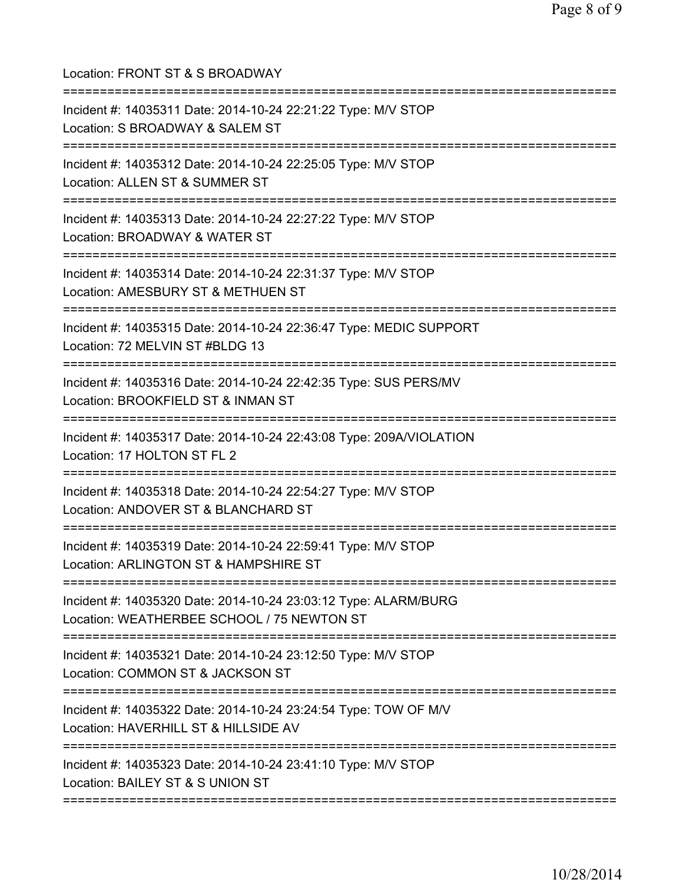| Incident #: 14035311 Date: 2014-10-24 22:21:22 Type: M/V STOP<br>Location: S BROADWAY & SALEM ST<br>:=============================           |
|----------------------------------------------------------------------------------------------------------------------------------------------|
| Incident #: 14035312 Date: 2014-10-24 22:25:05 Type: M/V STOP<br>Location: ALLEN ST & SUMMER ST                                              |
| Incident #: 14035313 Date: 2014-10-24 22:27:22 Type: M/V STOP<br>Location: BROADWAY & WATER ST                                               |
| Incident #: 14035314 Date: 2014-10-24 22:31:37 Type: M/V STOP<br>Location: AMESBURY ST & METHUEN ST                                          |
| Incident #: 14035315 Date: 2014-10-24 22:36:47 Type: MEDIC SUPPORT<br>Location: 72 MELVIN ST #BLDG 13                                        |
| ===================<br>Incident #: 14035316 Date: 2014-10-24 22:42:35 Type: SUS PERS/MV<br>Location: BROOKFIELD ST & INMAN ST<br>=========== |
| Incident #: 14035317 Date: 2014-10-24 22:43:08 Type: 209A/VIOLATION<br>Location: 17 HOLTON ST FL 2                                           |
| Incident #: 14035318 Date: 2014-10-24 22:54:27 Type: M/V STOP<br>Location: ANDOVER ST & BLANCHARD ST                                         |
| Incident #: 14035319 Date: 2014-10-24 22:59:41 Type: M/V STOP<br>Location: ARLINGTON ST & HAMPSHIRE ST                                       |
| Incident #: 14035320 Date: 2014-10-24 23:03:12 Type: ALARM/BURG<br>Location: WEATHERBEE SCHOOL / 75 NEWTON ST                                |
| Incident #: 14035321 Date: 2014-10-24 23:12:50 Type: M/V STOP<br>Location: COMMON ST & JACKSON ST                                            |
| Incident #: 14035322 Date: 2014-10-24 23:24:54 Type: TOW OF M/V<br>Location: HAVERHILL ST & HILLSIDE AV                                      |
| Incident #: 14035323 Date: 2014-10-24 23:41:10 Type: M/V STOP<br>Location: BAILEY ST & S UNION ST                                            |